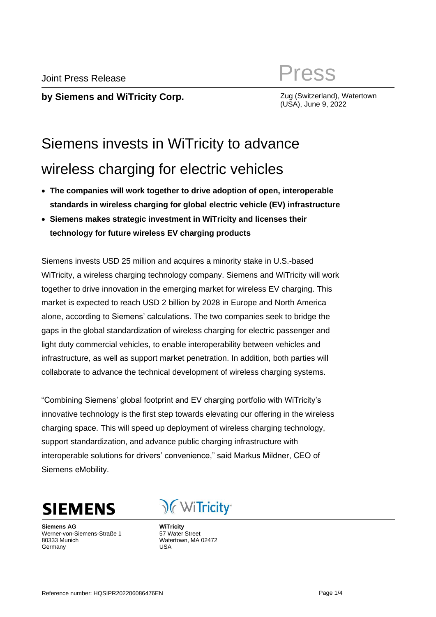# Joint Press Release **Press**

**by Siemens and WiTricity Corp. Example 2008 (Switzerland), Watertown** 

(USA), June 9, 2022

## Siemens invests in WiTricity to advance wireless charging for electric vehicles

- **The companies will work together to drive adoption of open, interoperable standards in wireless charging for global electric vehicle (EV) infrastructure**
- **Siemens makes strategic investment in WiTricity and licenses their technology for future wireless EV charging products**

Siemens invests USD 25 million and acquires a minority stake in U.S.-based WiTricity, a wireless charging technology company. Siemens and WiTricity will work together to drive innovation in the emerging market for wireless EV charging. This market is expected to reach USD 2 billion by 2028 in Europe and North America alone, according to Siemens' calculations. The two companies seek to bridge the gaps in the global standardization of wireless charging for electric passenger and light duty commercial vehicles, to enable interoperability between vehicles and infrastructure, as well as support market penetration. In addition, both parties will collaborate to advance the technical development of wireless charging systems.

"Combining Siemens' global footprint and EV charging portfolio with WiTricity's innovative technology is the first step towards elevating our offering in the wireless charging space. This will speed up deployment of wireless charging technology, support standardization, and advance public charging infrastructure with interoperable solutions for drivers' convenience," said Markus Mildner, CEO of Siemens eMobility.



**Siemens AG** Werner-von-Siemens-Straße 1 80333 Munich **Germany** 

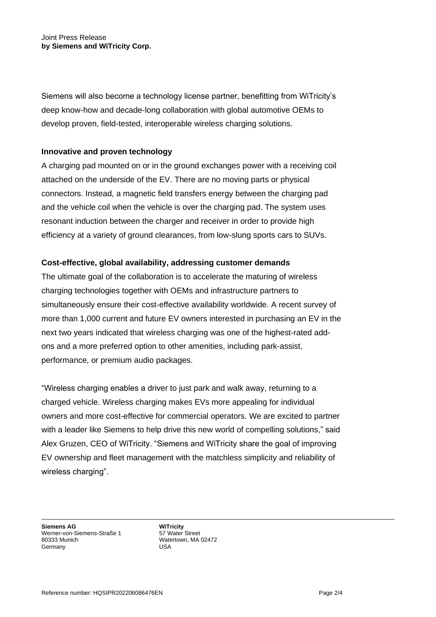Siemens will also become a technology license partner, benefitting from WiTricity's deep know-how and decade-long collaboration with global automotive OEMs to develop proven, field-tested, interoperable wireless charging solutions.

### **Innovative and proven technology**

A charging pad mounted on or in the ground exchanges power with a receiving coil attached on the underside of the EV. There are no moving parts or physical connectors. Instead, a magnetic field transfers energy between the charging pad and the vehicle coil when the vehicle is over the charging pad. The system uses resonant induction between the charger and receiver in order to provide high efficiency at a variety of ground clearances, from low-slung sports cars to SUVs.

## **Cost-effective, global availability, addressing customer demands**

The ultimate goal of the collaboration is to accelerate the maturing of wireless charging technologies together with OEMs and infrastructure partners to simultaneously ensure their cost-effective availability worldwide. A recent survey of more than 1,000 current and future EV owners interested in purchasing an EV in the next two years indicated that wireless charging was one of the highest-rated addons and a more preferred option to other amenities, including park-assist, performance, or premium audio packages.

"Wireless charging enables a driver to just park and walk away, returning to a charged vehicle. Wireless charging makes EVs more appealing for individual owners and more cost-effective for commercial operators. We are excited to partner with a leader like Siemens to help drive this new world of compelling solutions," said Alex Gruzen, CEO of WiTricity. "Siemens and WiTricity share the goal of improving EV ownership and fleet management with the matchless simplicity and reliability of wireless charging".

**Siemens AG** Werner-von-Siemens-Straße 1 80333 Munich **Germany**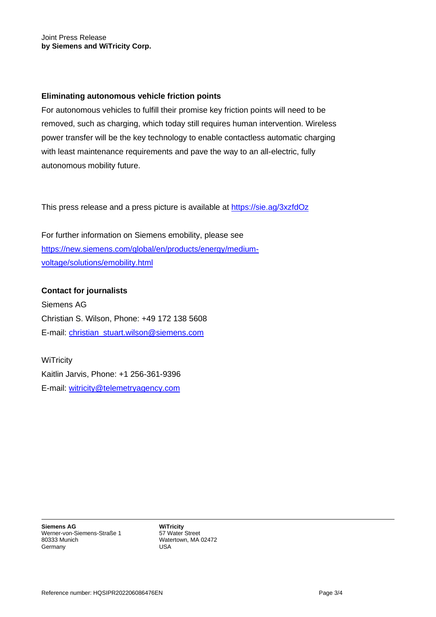#### **Eliminating autonomous vehicle friction points**

For autonomous vehicles to fulfill their promise key friction points will need to be removed, such as charging, which today still requires human intervention. Wireless power transfer will be the key technology to enable contactless automatic charging with least maintenance requirements and pave the way to an all-electric, fully autonomous mobility future.

This press release and a press picture is available at<https://sie.ag/3xzfdOz>

For further information on Siemens emobility, please see [https://new.siemens.com/global/en/products/energy/medium](https://new.siemens.com/global/en/products/energy/medium-voltage/solutions/emobility.html)[voltage/solutions/emobility.html](https://new.siemens.com/global/en/products/energy/medium-voltage/solutions/emobility.html)

**Contact for journalists** Siemens AG Christian S. Wilson, Phone: +49 172 138 5608 E-mail: [christian\\_stuart.wilson@siemens.com](mailto:christian_stuart.wilson@siemens.com)

**WiTricity** Kaitlin Jarvis, Phone: +1 256-361-9396 E-mail: [witricity@telemetryagency.com](mailto:witricity@telemetryagency.com)

**Siemens AG** Werner-von-Siemens-Straße 1 80333 Munich **Germany**